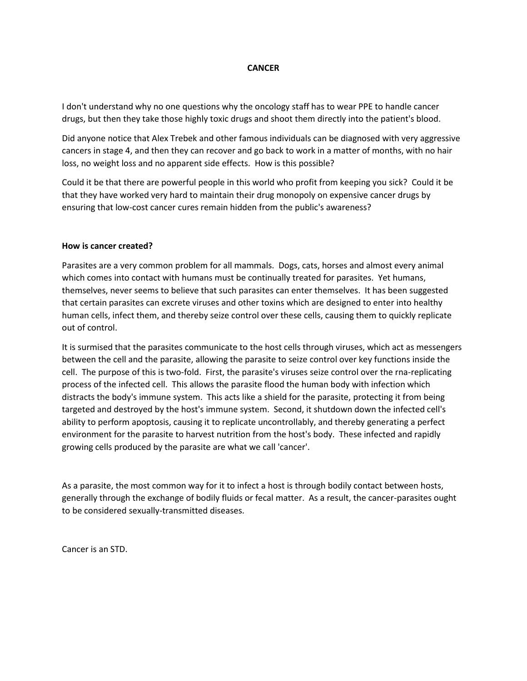#### **CANCER**

I don't understand why no one questions why the oncology staff has to wear PPE to handle cancer drugs, but then they take those highly toxic drugs and shoot them directly into the patient's blood.

Did anyone notice that Alex Trebek and other famous individuals can be diagnosed with very aggressive cancers in stage 4, and then they can recover and go back to work in a matter of months, with no hair loss, no weight loss and no apparent side effects. How is this possible?

Could it be that there are powerful people in this world who profit from keeping you sick? Could it be that they have worked very hard to maintain their drug monopoly on expensive cancer drugs by ensuring that low-cost cancer cures remain hidden from the public's awareness?

#### **How is cancer created?**

Parasites are a very common problem for all mammals. Dogs, cats, horses and almost every animal which comes into contact with humans must be continually treated for parasites. Yet humans, themselves, never seems to believe that such parasites can enter themselves. It has been suggested that certain parasites can excrete viruses and other toxins which are designed to enter into healthy human cells, infect them, and thereby seize control over these cells, causing them to quickly replicate out of control.

It is surmised that the parasites communicate to the host cells through viruses, which act as messengers between the cell and the parasite, allowing the parasite to seize control over key functions inside the cell. The purpose of this is two-fold. First, the parasite's viruses seize control over the rna-replicating process of the infected cell. This allows the parasite flood the human body with infection which distracts the body's immune system. This acts like a shield for the parasite, protecting it from being targeted and destroyed by the host's immune system. Second, it shutdown down the infected cell's ability to perform apoptosis, causing it to replicate uncontrollably, and thereby generating a perfect environment for the parasite to harvest nutrition from the host's body. These infected and rapidly growing cells produced by the parasite are what we call 'cancer'.

As a parasite, the most common way for it to infect a host is through bodily contact between hosts, generally through the exchange of bodily fluids or fecal matter. As a result, the cancer-parasites ought to be considered sexually-transmitted diseases.

Cancer is an STD.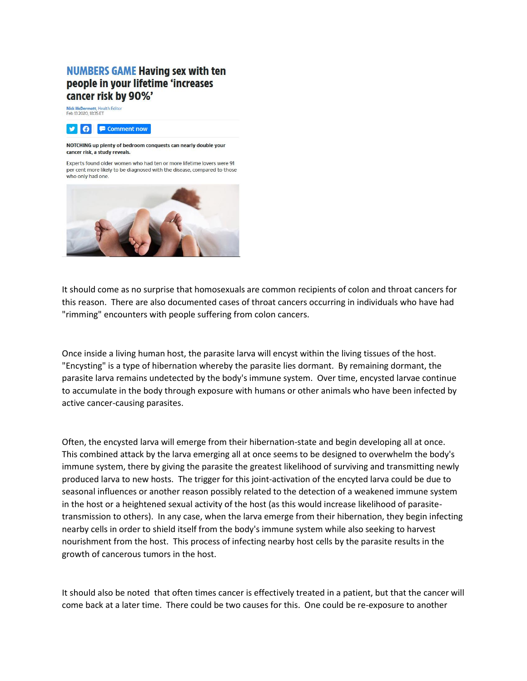## **NUMBERS GAME Having sex with ten** people in your lifetime 'increases cancer risk by 90%'

Nick McDermott, Health Editor<br>Feb 13 2020, 18:35 ET



#### NOTCHING up plenty of bedroom conquests can nearly double your cancer risk, a study reveals.

Experts found older women who had ten or more lifetime lovers were 91 per cent more likely to be diagnosed with the disease, compared to those who only had one.



It should come as no surprise that homosexuals are common recipients of colon and throat cancers for this reason. There are also documented cases of throat cancers occurring in individuals who have had "rimming" encounters with people suffering from colon cancers.

Once inside a living human host, the parasite larva will encyst within the living tissues of the host. "Encysting" is a type of hibernation whereby the parasite lies dormant. By remaining dormant, the parasite larva remains undetected by the body's immune system. Over time, encysted larvae continue to accumulate in the body through exposure with humans or other animals who have been infected by active cancer-causing parasites.

Often, the encysted larva will emerge from their hibernation-state and begin developing all at once. This combined attack by the larva emerging all at once seems to be designed to overwhelm the body's immune system, there by giving the parasite the greatest likelihood of surviving and transmitting newly produced larva to new hosts. The trigger for this joint-activation of the encyted larva could be due to seasonal influences or another reason possibly related to the detection of a weakened immune system in the host or a heightened sexual activity of the host (as this would increase likelihood of parasitetransmission to others). In any case, when the larva emerge from their hibernation, they begin infecting nearby cells in order to shield itself from the body's immune system while also seeking to harvest nourishment from the host. This process of infecting nearby host cells by the parasite results in the growth of cancerous tumors in the host.

It should also be noted that often times cancer is effectively treated in a patient, but that the cancer will come back at a later time. There could be two causes for this. One could be re-exposure to another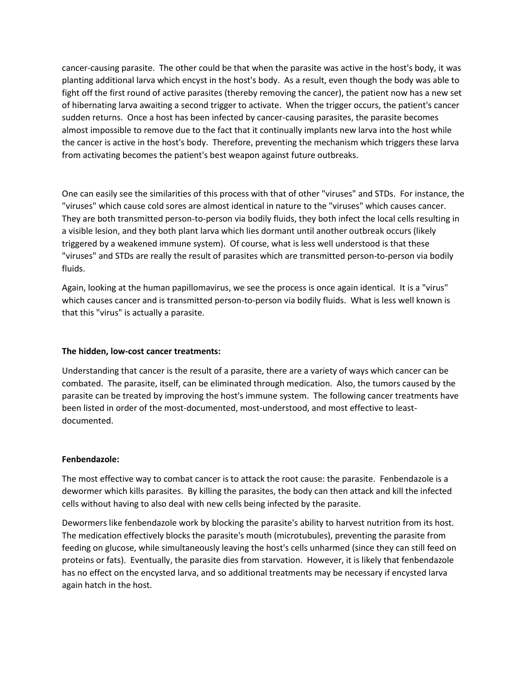cancer-causing parasite. The other could be that when the parasite was active in the host's body, it was planting additional larva which encyst in the host's body. As a result, even though the body was able to fight off the first round of active parasites (thereby removing the cancer), the patient now has a new set of hibernating larva awaiting a second trigger to activate. When the trigger occurs, the patient's cancer sudden returns. Once a host has been infected by cancer-causing parasites, the parasite becomes almost impossible to remove due to the fact that it continually implants new larva into the host while the cancer is active in the host's body. Therefore, preventing the mechanism which triggers these larva from activating becomes the patient's best weapon against future outbreaks.

One can easily see the similarities of this process with that of other "viruses" and STDs. For instance, the "viruses" which cause cold sores are almost identical in nature to the "viruses" which causes cancer. They are both transmitted person-to-person via bodily fluids, they both infect the local cells resulting in a visible lesion, and they both plant larva which lies dormant until another outbreak occurs (likely triggered by a weakened immune system). Of course, what is less well understood is that these "viruses" and STDs are really the result of parasites which are transmitted person-to-person via bodily fluids.

Again, looking at the human papillomavirus, we see the process is once again identical. It is a "virus" which causes cancer and is transmitted person-to-person via bodily fluids. What is less well known is that this "virus" is actually a parasite.

### **The hidden, low-cost cancer treatments:**

Understanding that cancer is the result of a parasite, there are a variety of ways which cancer can be combated. The parasite, itself, can be eliminated through medication. Also, the tumors caused by the parasite can be treated by improving the host's immune system. The following cancer treatments have been listed in order of the most-documented, most-understood, and most effective to leastdocumented.

### **Fenbendazole:**

The most effective way to combat cancer is to attack the root cause: the parasite. Fenbendazole is a dewormer which kills parasites. By killing the parasites, the body can then attack and kill the infected cells without having to also deal with new cells being infected by the parasite.

Dewormers like fenbendazole work by blocking the parasite's ability to harvest nutrition from its host. The medication effectively blocks the parasite's mouth (microtubules), preventing the parasite from feeding on glucose, while simultaneously leaving the host's cells unharmed (since they can still feed on proteins or fats). Eventually, the parasite dies from starvation. However, it is likely that fenbendazole has no effect on the encysted larva, and so additional treatments may be necessary if encysted larva again hatch in the host.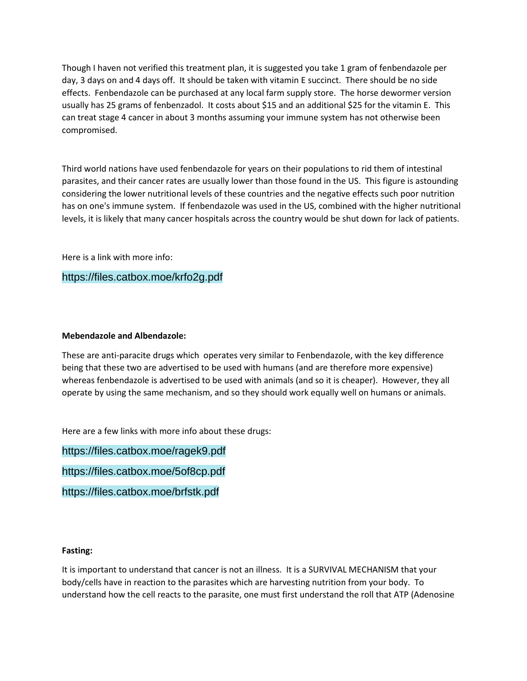Though I haven not verified this treatment plan, it is suggested you take 1 gram of fenbendazole per day, 3 days on and 4 days off. It should be taken with vitamin E succinct. There should be no side effects. Fenbendazole can be purchased at any local farm supply store. The horse dewormer version usually has 25 grams of fenbenzadol. It costs about \$15 and an additional \$25 for the vitamin E. This can treat stage 4 cancer in about 3 months assuming your immune system has not otherwise been compromised.

Third world nations have used fenbendazole for years on their populations to rid them of intestinal parasites, and their cancer rates are usually lower than those found in the US. This figure is astounding considering the lower nutritional levels of these countries and the negative effects such poor nutrition has on one's immune system. If fenbendazole was used in the US, combined with the higher nutritional levels, it is likely that many cancer hospitals across the country would be shut down for lack of patients.

Here is a link with more info:

### https://files.catbox.moe/krfo2g.pdf

#### **Mebendazole and Albendazole:**

These are anti-paracite drugs which operates very similar to Fenbendazole, with the key difference being that these two are advertised to be used with humans (and are therefore more expensive) whereas fenbendazole is advertised to be used with animals (and so it is cheaper). However, they all operate by using the same mechanism, and so they should work equally well on humans or animals.

Here are a few links with more info about these drugs:

https://files.catbox.moe/ragek9.pdf

https://files.catbox.moe/5of8cp.pdf

https://files.catbox.moe/brfstk.pdf

#### **Fasting:**

It is important to understand that cancer is not an illness. It is a SURVIVAL MECHANISM that your body/cells have in reaction to the parasites which are harvesting nutrition from your body. To understand how the cell reacts to the parasite, one must first understand the roll that ATP (Adenosine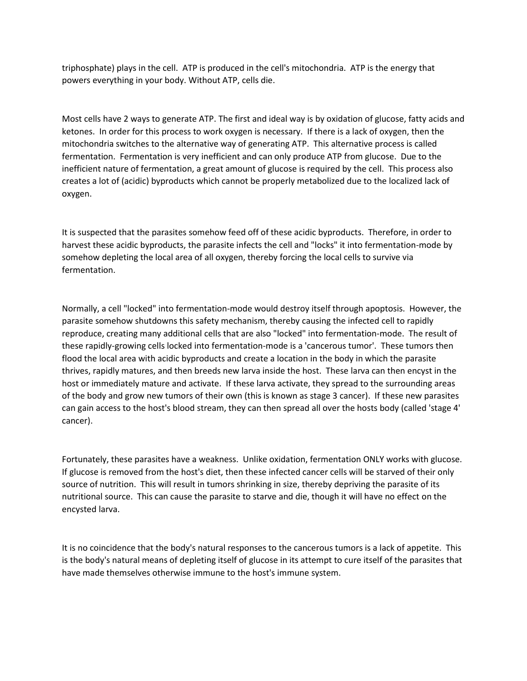triphosphate) plays in the cell. ATP is produced in the cell's mitochondria. ATP is the energy that powers everything in your body. Without ATP, cells die.

Most cells have 2 ways to generate ATP. The first and ideal way is by oxidation of glucose, fatty acids and ketones. In order for this process to work oxygen is necessary. If there is a lack of oxygen, then the mitochondria switches to the alternative way of generating ATP. This alternative process is called fermentation. Fermentation is very inefficient and can only produce ATP from glucose. Due to the inefficient nature of fermentation, a great amount of glucose is required by the cell. This process also creates a lot of (acidic) byproducts which cannot be properly metabolized due to the localized lack of oxygen.

It is suspected that the parasites somehow feed off of these acidic byproducts. Therefore, in order to harvest these acidic byproducts, the parasite infects the cell and "locks" it into fermentation-mode by somehow depleting the local area of all oxygen, thereby forcing the local cells to survive via fermentation.

Normally, a cell "locked" into fermentation-mode would destroy itself through apoptosis. However, the parasite somehow shutdowns this safety mechanism, thereby causing the infected cell to rapidly reproduce, creating many additional cells that are also "locked" into fermentation-mode. The result of these rapidly-growing cells locked into fermentation-mode is a 'cancerous tumor'. These tumors then flood the local area with acidic byproducts and create a location in the body in which the parasite thrives, rapidly matures, and then breeds new larva inside the host. These larva can then encyst in the host or immediately mature and activate. If these larva activate, they spread to the surrounding areas of the body and grow new tumors of their own (this is known as stage 3 cancer). If these new parasites can gain access to the host's blood stream, they can then spread all over the hosts body (called 'stage 4' cancer).

Fortunately, these parasites have a weakness. Unlike oxidation, fermentation ONLY works with glucose. If glucose is removed from the host's diet, then these infected cancer cells will be starved of their only source of nutrition. This will result in tumors shrinking in size, thereby depriving the parasite of its nutritional source. This can cause the parasite to starve and die, though it will have no effect on the encysted larva.

It is no coincidence that the body's natural responses to the cancerous tumors is a lack of appetite. This is the body's natural means of depleting itself of glucose in its attempt to cure itself of the parasites that have made themselves otherwise immune to the host's immune system.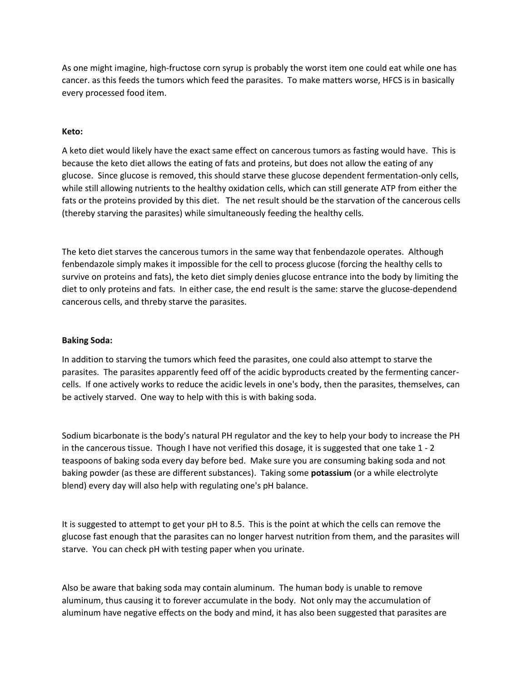As one might imagine, high-fructose corn syrup is probably the worst item one could eat while one has cancer. as this feeds the tumors which feed the parasites. To make matters worse, HFCS is in basically every processed food item.

### **Keto:**

A keto diet would likely have the exact same effect on cancerous tumors as fasting would have. This is because the keto diet allows the eating of fats and proteins, but does not allow the eating of any glucose. Since glucose is removed, this should starve these glucose dependent fermentation-only cells, while still allowing nutrients to the healthy oxidation cells, which can still generate ATP from either the fats or the proteins provided by this diet. The net result should be the starvation of the cancerous cells (thereby starving the parasites) while simultaneously feeding the healthy cells.

The keto diet starves the cancerous tumors in the same way that fenbendazole operates. Although fenbendazole simply makes it impossible for the cell to process glucose (forcing the healthy cells to survive on proteins and fats), the keto diet simply denies glucose entrance into the body by limiting the diet to only proteins and fats. In either case, the end result is the same: starve the glucose-dependend cancerous cells, and threby starve the parasites.

### **Baking Soda:**

In addition to starving the tumors which feed the parasites, one could also attempt to starve the parasites. The parasites apparently feed off of the acidic byproducts created by the fermenting cancercells. If one actively works to reduce the acidic levels in one's body, then the parasites, themselves, can be actively starved. One way to help with this is with baking soda.

Sodium bicarbonate is the body's natural PH regulator and the key to help your body to increase the PH in the cancerous tissue. Though I have not verified this dosage, it is suggested that one take 1 - 2 teaspoons of baking soda every day before bed. Make sure you are consuming baking soda and not baking powder (as these are different substances). Taking some **potassium** (or a while electrolyte blend) every day will also help with regulating one's pH balance.

It is suggested to attempt to get your pH to 8.5. This is the point at which the cells can remove the glucose fast enough that the parasites can no longer harvest nutrition from them, and the parasites will starve. You can check pH with testing paper when you urinate.

Also be aware that baking soda may contain aluminum. The human body is unable to remove aluminum, thus causing it to forever accumulate in the body. Not only may the accumulation of aluminum have negative effects on the body and mind, it has also been suggested that parasites are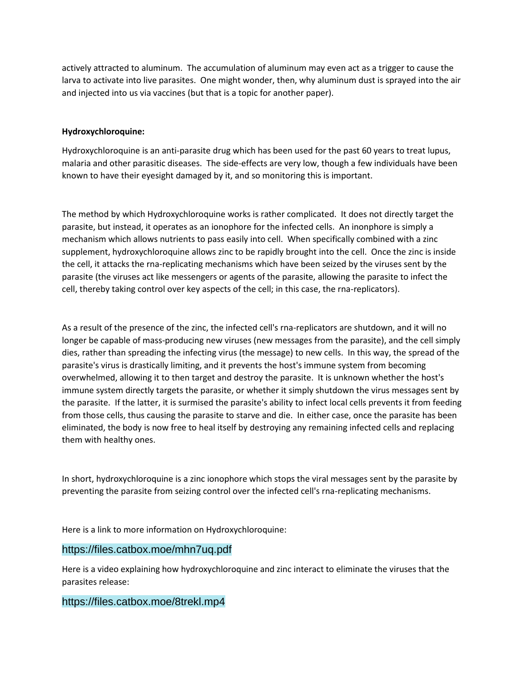actively attracted to aluminum. The accumulation of aluminum may even act as a trigger to cause the larva to activate into live parasites. One might wonder, then, why aluminum dust is sprayed into the air and injected into us via vaccines (but that is a topic for another paper).

### **Hydroxychloroquine:**

Hydroxychloroquine is an anti-parasite drug which has been used for the past 60 years to treat lupus, malaria and other parasitic diseases. The side-effects are very low, though a few individuals have been known to have their eyesight damaged by it, and so monitoring this is important.

The method by which Hydroxychloroquine works is rather complicated. It does not directly target the parasite, but instead, it operates as an ionophore for the infected cells. An inonphore is simply a mechanism which allows nutrients to pass easily into cell. When specifically combined with a zinc supplement, hydroxychloroquine allows zinc to be rapidly brought into the cell. Once the zinc is inside the cell, it attacks the rna-replicating mechanisms which have been seized by the viruses sent by the parasite (the viruses act like messengers or agents of the parasite, allowing the parasite to infect the cell, thereby taking control over key aspects of the cell; in this case, the rna-replicators).

As a result of the presence of the zinc, the infected cell's rna-replicators are shutdown, and it will no longer be capable of mass-producing new viruses (new messages from the parasite), and the cell simply dies, rather than spreading the infecting virus (the message) to new cells. In this way, the spread of the parasite's virus is drastically limiting, and it prevents the host's immune system from becoming overwhelmed, allowing it to then target and destroy the parasite. It is unknown whether the host's immune system directly targets the parasite, or whether it simply shutdown the virus messages sent by the parasite. If the latter, it is surmised the parasite's ability to infect local cells prevents it from feeding from those cells, thus causing the parasite to starve and die. In either case, once the parasite has been eliminated, the body is now free to heal itself by destroying any remaining infected cells and replacing them with healthy ones.

In short, hydroxychloroquine is a zinc ionophore which stops the viral messages sent by the parasite by preventing the parasite from seizing control over the infected cell's rna-replicating mechanisms.

Here is a link to more information on Hydroxychloroquine:

### https://files.catbox.moe/mhn7uq.pdf

Here is a video explaining how hydroxychloroquine and zinc interact to eliminate the viruses that the parasites release:

### https://files.catbox.moe/8trekl.mp4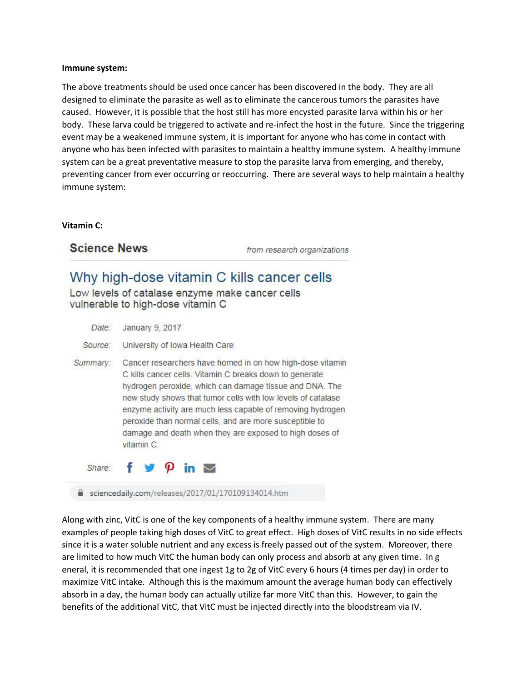#### **Immune system:**

The above treatments should be used once cancer has been discovered in the body. They are all designed to eliminate the parasite as well as to eliminate the cancerous tumors the parasites have caused. However, it is possible that the host still has more encysted parasite larva within his or her body. These larva could be triggered to activate and re-infect the host in the future. Since the triggering event may be a weakened immune system, it is important for anyone who has come in contact with anyone who has been infected with parasites to maintain a healthy immune system. A healthy immune system can be a great preventative measure to stop the parasite larva from emerging, and thereby, preventing cancer from ever occurring or reoccurring. There are several ways to help maintain a healthy immune system:

#### **Vitamin C:**

**Science News** 

from research organizations

# Why high-dose vitamin C kills cancer cells

Low levels of catalase enzyme make cancer cells vulnerable to high-dose vitamin C

| Date:    | January 9, 2017                                                                                                                                                                                                                                                                                                                                                                                                                                   |
|----------|---------------------------------------------------------------------------------------------------------------------------------------------------------------------------------------------------------------------------------------------------------------------------------------------------------------------------------------------------------------------------------------------------------------------------------------------------|
| Source:  | University of Iowa Health Care                                                                                                                                                                                                                                                                                                                                                                                                                    |
| Summary: | Cancer researchers have homed in on how high-dose vitamin<br>C kills cancer cells. Vitamin C breaks down to generate<br>hydrogen peroxide, which can damage tissue and DNA. The<br>new study shows that tumor cells with low levels of catalase<br>enzyme activity are much less capable of removing hydrogen<br>peroxide than normal cells, and are more susceptible to<br>damage and death when they are exposed to high doses of<br>vitamin C. |
|          | Share: $f \circ \varphi$ in $\sim$                                                                                                                                                                                                                                                                                                                                                                                                                |
|          | sciencedaily.com/releases/2017/01/170109134014.htm                                                                                                                                                                                                                                                                                                                                                                                                |

Along with zinc, VitC is one of the key components of a healthy immune system. There are many examples of people taking high doses of VitC to great effect. High doses of VitC results in no side effects since it is a water soluble nutrient and any excess is freely passed out of the system. Moreover, there are limited to how much VitC the human body can only process and absorb at any given time. In g eneral, it is recommended that one ingest 1g to 2g of VitC every 6 hours (4 times per day) in order to maximize VitC intake. Although this is the maximum amount the average human body can effectively absorb in a day, the human body can actually utilize far more VitC than this. However, to gain the benefits of the additional VitC, that VitC must be injected directly into the bloodstream via IV.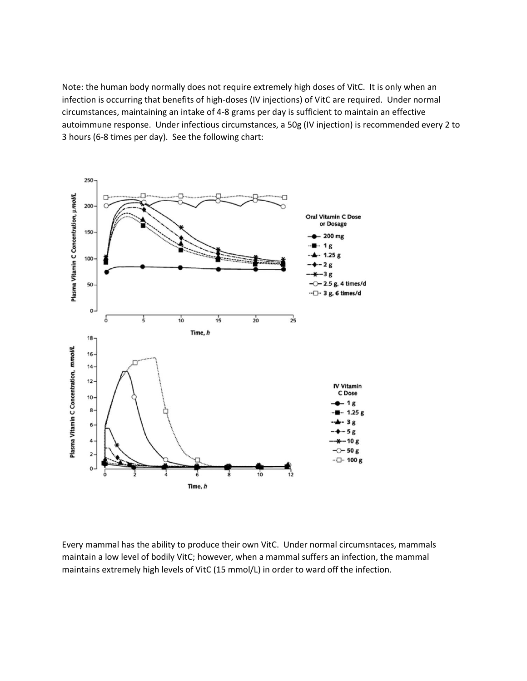Note: the human body normally does not require extremely high doses of VitC. It is only when an infection is occurring that benefits of high-doses (IV injections) of VitC are required. Under normal circumstances, maintaining an intake of 4-8 grams per day is sufficient to maintain an effective autoimmune response. Under infectious circumstances, a 50g (IV injection) is recommended every 2 to 3 hours (6-8 times per day). See the following chart:



Every mammal has the ability to produce their own VitC. Under normal circumsntaces, mammals maintain a low level of bodily VitC; however, when a mammal suffers an infection, the mammal maintains extremely high levels of VitC (15 mmol/L) in order to ward off the infection.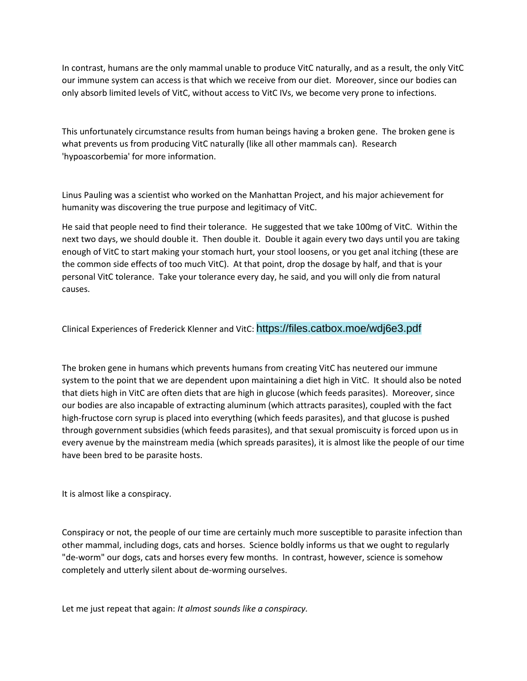In contrast, humans are the only mammal unable to produce VitC naturally, and as a result, the only VitC our immune system can access is that which we receive from our diet. Moreover, since our bodies can only absorb limited levels of VitC, without access to VitC IVs, we become very prone to infections.

This unfortunately circumstance results from human beings having a broken gene. The broken gene is what prevents us from producing VitC naturally (like all other mammals can). Research 'hypoascorbemia' for more information.

Linus Pauling was a scientist who worked on the Manhattan Project, and his major achievement for humanity was discovering the true purpose and legitimacy of VitC.

He said that people need to find their tolerance. He suggested that we take 100mg of VitC. Within the next two days, we should double it. Then double it. Double it again every two days until you are taking enough of VitC to start making your stomach hurt, your stool loosens, or you get anal itching (these are the common side effects of too much VitC). At that point, drop the dosage by half, and that is your personal VitC tolerance. Take your tolerance every day, he said, and you will only die from natural causes.

Clinical Experiences of Frederick Klenner and VitC: https://files.catbox.moe/wdj6e3.pdf

The broken gene in humans which prevents humans from creating VitC has neutered our immune system to the point that we are dependent upon maintaining a diet high in VitC. It should also be noted that diets high in VitC are often diets that are high in glucose (which feeds parasites). Moreover, since our bodies are also incapable of extracting aluminum (which attracts parasites), coupled with the fact high-fructose corn syrup is placed into everything (which feeds parasites), and that glucose is pushed through government subsidies (which feeds parasites), and that sexual promiscuity is forced upon us in every avenue by the mainstream media (which spreads parasites), it is almost like the people of our time have been bred to be parasite hosts.

It is almost like a conspiracy.

Conspiracy or not, the people of our time are certainly much more susceptible to parasite infection than other mammal, including dogs, cats and horses. Science boldly informs us that we ought to regularly "de-worm" our dogs, cats and horses every few months. In contrast, however, science is somehow completely and utterly silent about de-worming ourselves.

Let me just repeat that again: *It almost sounds like a conspiracy.*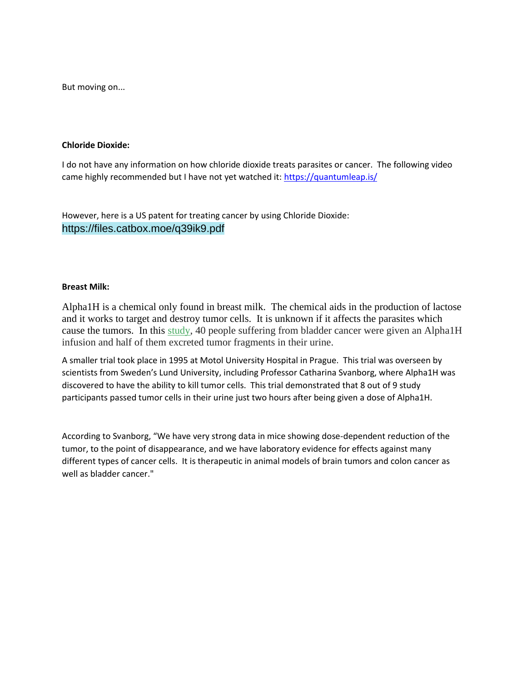But moving on...

#### **Chloride Dioxide:**

I do not have any information on how chloride dioxide treats parasites or cancer. The following video came highly recommended but I have not yet watched it:<https://quantumleap.is/>

However, here is a US patent for treating cancer by using Chloride Dioxide: https://files.catbox.moe/q39ik9.pdf

### **Breast Milk:**

Alpha1H is a chemical only found in breast milk. The chemical aids in the production of lactose and it works to target and destroy tumor cells. It is unknown if it affects the parasites which cause the tumors. In this [study,](https://clinicaltrials.gov/ct2/show/NCT03560479) 40 people suffering from bladder cancer were given an Alpha1H infusion and half of them excreted tumor fragments in their urine.

A smaller trial took place in 1995 at Motol University Hospital in Prague. This trial was overseen by scientists from Sweden's Lund University, including Professor Catharina Svanborg, where Alpha1H was discovered to have the ability to kill tumor cells. This trial demonstrated that 8 out of 9 study participants passed tumor cells in their urine just two hours after being given a dose of Alpha1H.

According to Svanborg, "We have very strong data in mice showing dose-dependent reduction of the tumor, to the point of disappearance, and we have laboratory evidence for effects against many different types of cancer cells. It is therapeutic in animal models of brain tumors and colon cancer as well as bladder cancer."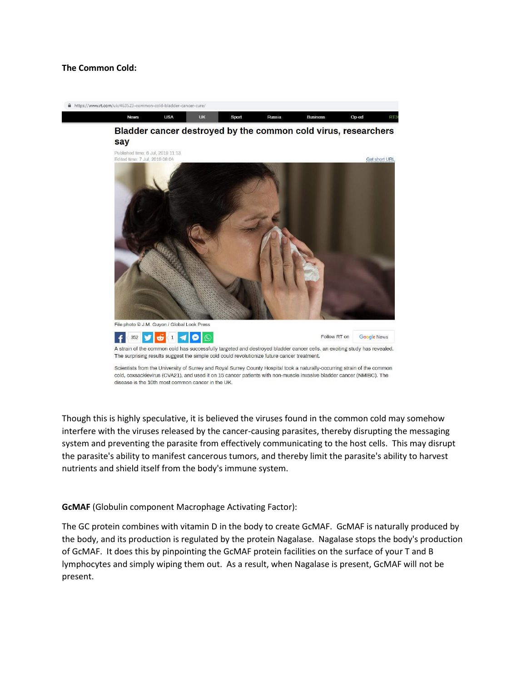### **The Common Cold:**



Though this is highly speculative, it is believed the viruses found in the common cold may somehow interfere with the viruses released by the cancer-causing parasites, thereby disrupting the messaging system and preventing the parasite from effectively communicating to the host cells. This may disrupt the parasite's ability to manifest cancerous tumors, and thereby limit the parasite's ability to harvest nutrients and shield itself from the body's immune system.

**GcMAF** (Globulin component Macrophage Activating Factor):

The GC protein combines with vitamin D in the body to create GcMAF. GcMAF is naturally produced by the body, and its production is regulated by the protein Nagalase. Nagalase stops the body's production of GcMAF. It does this by pinpointing the GcMAF protein facilities on the surface of your T and B lymphocytes and simply wiping them out. As a result, when Nagalase is present, GcMAF will not be present.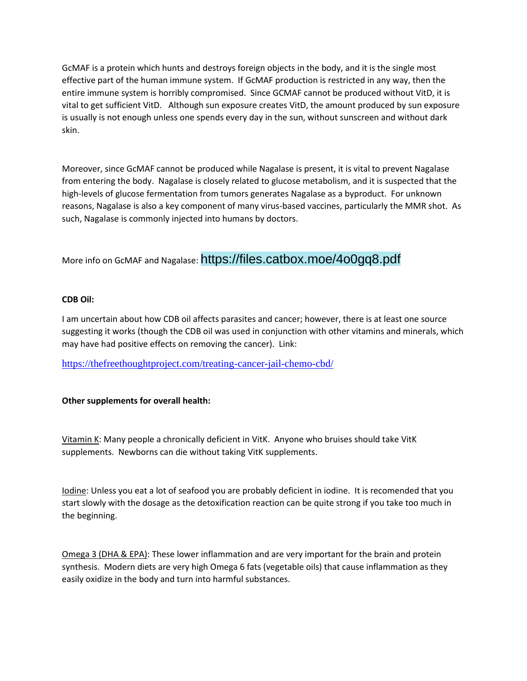GcMAF is a protein which hunts and destroys foreign objects in the body, and it is the single most effective part of the human immune system. If GcMAF production is restricted in any way, then the entire immune system is horribly compromised. Since GCMAF cannot be produced without VitD, it is vital to get sufficient VitD. Although sun exposure creates VitD, the amount produced by sun exposure is usually is not enough unless one spends every day in the sun, without sunscreen and without dark skin.

Moreover, since GcMAF cannot be produced while Nagalase is present, it is vital to prevent Nagalase from entering the body. Nagalase is closely related to glucose metabolism, and it is suspected that the high-levels of glucose fermentation from tumors generates Nagalase as a byproduct. For unknown reasons, Nagalase is also a key component of many virus-based vaccines, particularly the MMR shot. As such, Nagalase is commonly injected into humans by doctors.

More info on GcMAF and Nagalase: https://files.catbox.moe/4o0gq8.pdf

### **CDB Oil:**

I am uncertain about how CDB oil affects parasites and cancer; however, there is at least one source suggesting it works (though the CDB oil was used in conjunction with other vitamins and minerals, which may have had positive effects on removing the cancer). Link:

<https://thefreethoughtproject.com/treating-cancer-jail-chemo-cbd/>

### **Other supplements for overall health:**

Vitamin K: Many people a chronically deficient in VitK. Anyone who bruises should take VitK supplements. Newborns can die without taking VitK supplements.

lodine: Unless you eat a lot of seafood you are probably deficient in iodine. It is recomended that you start slowly with the dosage as the detoxification reaction can be quite strong if you take too much in the beginning.

Omega 3 (DHA & EPA): These lower inflammation and are very important for the brain and protein synthesis. Modern diets are very high Omega 6 fats (vegetable oils) that cause inflammation as they easily oxidize in the body and turn into harmful substances.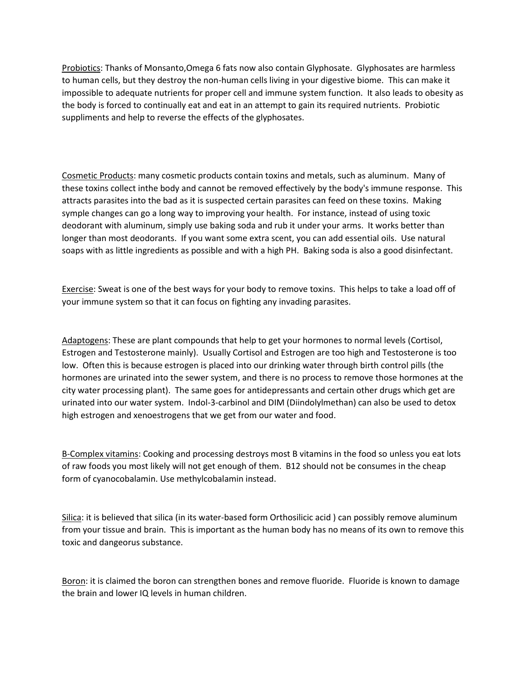Probiotics: Thanks of Monsanto,Omega 6 fats now also contain Glyphosate. Glyphosates are harmless to human cells, but they destroy the non-human cells living in your digestive biome. This can make it impossible to adequate nutrients for proper cell and immune system function. It also leads to obesity as the body is forced to continually eat and eat in an attempt to gain its required nutrients. Probiotic suppliments and help to reverse the effects of the glyphosates.

Cosmetic Products: many cosmetic products contain toxins and metals, such as aluminum. Many of these toxins collect inthe body and cannot be removed effectively by the body's immune response. This attracts parasites into the bad as it is suspected certain parasites can feed on these toxins. Making symple changes can go a long way to improving your health. For instance, instead of using toxic deodorant with aluminum, simply use baking soda and rub it under your arms. It works better than longer than most deodorants. If you want some extra scent, you can add essential oils. Use natural soaps with as little ingredients as possible and with a high PH. Baking soda is also a good disinfectant.

Exercise: Sweat is one of the best ways for your body to remove toxins. This helps to take a load off of your immune system so that it can focus on fighting any invading parasites.

Adaptogens: These are plant compounds that help to get your hormones to normal levels (Cortisol, Estrogen and Testosterone mainly). Usually Cortisol and Estrogen are too high and Testosterone is too low. Often this is because estrogen is placed into our drinking water through birth control pills (the hormones are urinated into the sewer system, and there is no process to remove those hormones at the city water processing plant). The same goes for antidepressants and certain other drugs which get are urinated into our water system. Indol-3-carbinol and DIM (Diindolylmethan) can also be used to detox high estrogen and xenoestrogens that we get from our water and food.

B-Complex vitamins: Cooking and processing destroys most B vitamins in the food so unless you eat lots of raw foods you most likely will not get enough of them. B12 should not be consumes in the cheap form of cyanocobalamin. Use methylcobalamin instead.

Silica: it is believed that silica (in its water-based form Orthosilicic acid ) can possibly remove aluminum from your tissue and brain. This is important as the human body has no means of its own to remove this toxic and dangeorus substance.

Boron: it is claimed the boron can strengthen bones and remove fluoride. Fluoride is known to damage the brain and lower IQ levels in human children.